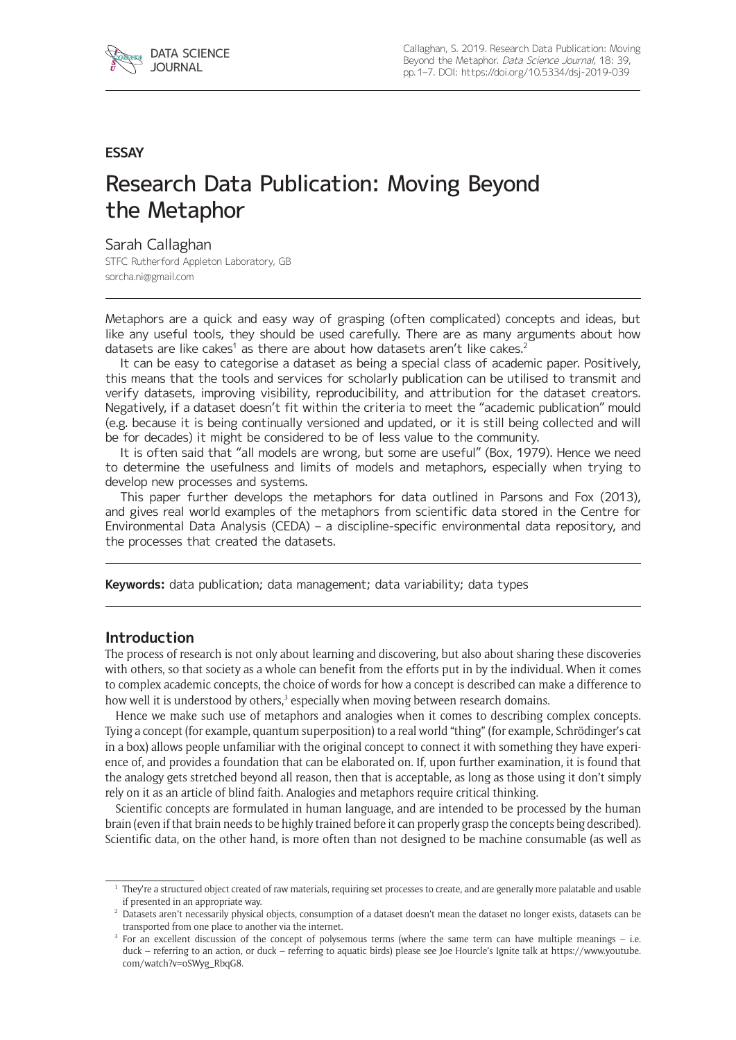

## **ESSAY**

# Research Data Publication: Moving Beyond the Metaphor

## Sarah Callaghan

STFC Rutherford Appleton Laboratory, GB [sorcha.ni@gmail.com](mailto:sorcha.ni@gmail.com)

Metaphors are a quick and easy way of grasping (often complicated) concepts and ideas, but like any useful tools, they should be used carefully. There are as many arguments about how datasets are like cakes<sup>1</sup> as there are about how datasets aren't like cakes.<sup>2</sup>

It can be easy to categorise a dataset as being a special class of academic paper. Positively, this means that the tools and services for scholarly publication can be utilised to transmit and verify datasets, improving visibility, reproducibility, and attribution for the dataset creators. Negatively, if a dataset doesn't fit within the criteria to meet the "academic publication" mould (e.g. because it is being continually versioned and updated, or it is still being collected and will be for decades) it might be considered to be of less value to the community.

It is often said that "all models are wrong, but some are useful" (Box, 1979). Hence we need to determine the usefulness and limits of models and metaphors, especially when trying to develop new processes and systems.

This paper further develops the metaphors for data outlined in Parsons and Fox (2013), and gives real world examples of the metaphors from scientific data stored in the Centre for Environmental Data Analysis (CEDA) – a discipline-specific environmental data repository, and the processes that created the datasets.

**Keywords:** data publication; data management; data variability; data types

## **Introduction**

The process of research is not only about learning and discovering, but also about sharing these discoveries with others, so that society as a whole can benefit from the efforts put in by the individual. When it comes to complex academic concepts, the choice of words for how a concept is described can make a difference to how well it is understood by others,<sup>3</sup> especially when moving between research domains.

Hence we make such use of metaphors and analogies when it comes to describing complex concepts. Tying a concept (for example, quantum superposition) to a real world "thing" (for example, Schrödinger's cat in a box) allows people unfamiliar with the original concept to connect it with something they have experience of, and provides a foundation that can be elaborated on. If, upon further examination, it is found that the analogy gets stretched beyond all reason, then that is acceptable, as long as those using it don't simply rely on it as an article of blind faith. Analogies and metaphors require critical thinking.

Scientific concepts are formulated in human language, and are intended to be processed by the human brain (even if that brain needs to be highly trained before it can properly grasp the concepts being described). Scientific data, on the other hand, is more often than not designed to be machine consumable (as well as

<sup>&</sup>lt;sup>1</sup> They're a structured object created of raw materials, requiring set processes to create, and are generally more palatable and usable if presented in an appropriate way.

<sup>&</sup>lt;sup>2</sup> Datasets aren't necessarily physical objects, consumption of a dataset doesn't mean the dataset no longer exists, datasets can be transported from one place to another via the internet.

<sup>&</sup>lt;sup>3</sup> For an excellent discussion of the concept of polysemous terms (where the same term can have multiple meanings – i.e. duck – referring to an action, or duck – referring to aquatic birds) please see Joe Hourcle's Ignite talk at [https://www.youtube.](https://www.youtube.com/watch?v=oSWyg_RbqG8) [com/watch?v=oSWyg\\_RbqG8](https://www.youtube.com/watch?v=oSWyg_RbqG8).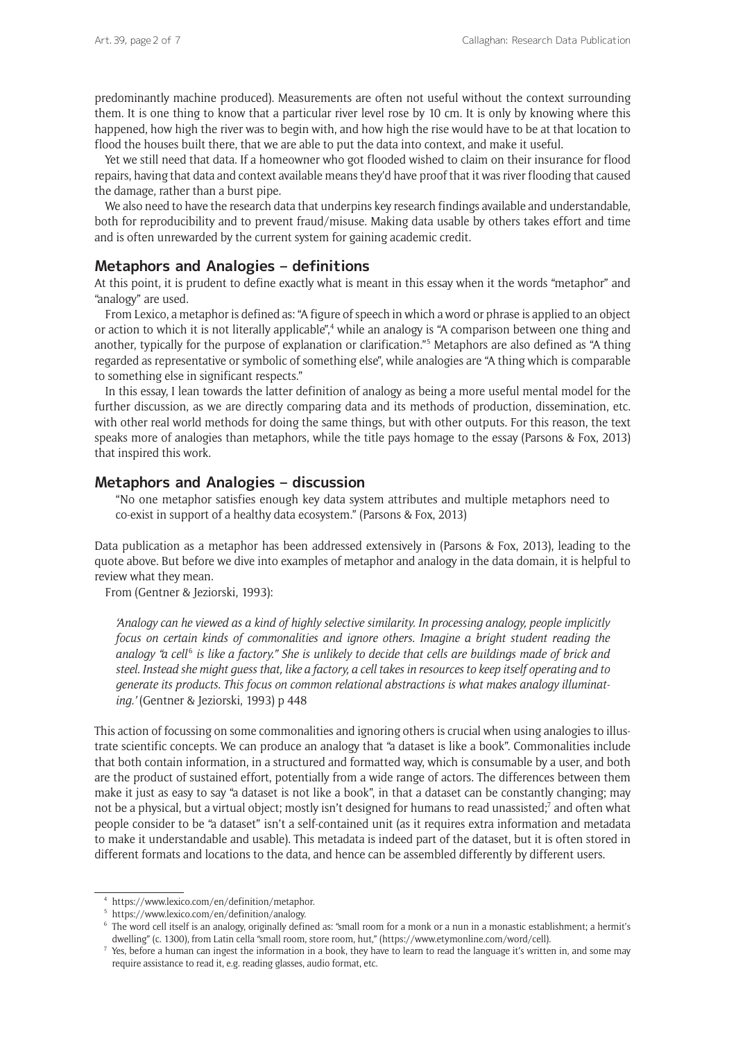predominantly machine produced). Measurements are often not useful without the context surrounding them. It is one thing to know that a particular river level rose by 10 cm. It is only by knowing where this happened, how high the river was to begin with, and how high the rise would have to be at that location to flood the houses built there, that we are able to put the data into context, and make it useful.

Yet we still need that data. If a homeowner who got flooded wished to claim on their insurance for flood repairs, having that data and context available means they'd have proof that it was river flooding that caused the damage, rather than a burst pipe.

We also need to have the research data that underpins key research findings available and understandable, both for reproducibility and to prevent fraud/misuse. Making data usable by others takes effort and time and is often unrewarded by the current system for gaining academic credit.

## **Metaphors and Analogies – definitions**

At this point, it is prudent to define exactly what is meant in this essay when it the words "metaphor" and "analogy" are used.

From Lexico, a metaphor is defined as: "A figure of speech in which a word or phrase is applied to an object or action to which it is not literally applicable",<sup>4</sup> while an analogy is "A comparison between one thing and another, typically for the purpose of explanation or clarification."<sup>5</sup> Metaphors are also defined as "A thing regarded as representative or symbolic of something else", while analogies are "A thing which is comparable to something else in significant respects."

In this essay, I lean towards the latter definition of analogy as being a more useful mental model for the further discussion, as we are directly comparing data and its methods of production, dissemination, etc. with other real world methods for doing the same things, but with other outputs. For this reason, the text speaks more of analogies than metaphors, while the title pays homage to the essay (Parsons & Fox, 2013) that inspired this work.

## **Metaphors and Analogies – discussion**

"No one metaphor satisfies enough key data system attributes and multiple metaphors need to co-exist in support of a healthy data ecosystem." (Parsons & Fox, 2013)

Data publication as a metaphor has been addressed extensively in (Parsons & Fox, 2013), leading to the quote above. But before we dive into examples of metaphor and analogy in the data domain, it is helpful to review what they mean.

From (Gentner & Jeziorski, 1993):

*'Analogy can he viewed as a kind of highly selective similarity. In processing analogy, people implicitly focus on certain kinds of commonalities and ignore others. Imagine a bright student reading the*  analogy "a cell<sup>6</sup> is like a factory." She is unlikely to decide that cells are buildings made of brick and *steel. Instead she might guess that, like a factory, a cell takes in resources to keep itself operating and to generate its products. This focus on common relational abstractions is what makes analogy illuminating.'* (Gentner & Jeziorski, 1993) p 448

This action of focussing on some commonalities and ignoring others is crucial when using analogies to illustrate scientific concepts. We can produce an analogy that "a dataset is like a book". Commonalities include that both contain information, in a structured and formatted way, which is consumable by a user, and both are the product of sustained effort, potentially from a wide range of actors. The differences between them make it just as easy to say "a dataset is not like a book", in that a dataset can be constantly changing; may not be a physical, but a virtual object; mostly isn't designed for humans to read unassisted;<sup>7</sup> and often what people consider to be "a dataset" isn't a self-contained unit (as it requires extra information and metadata to make it understandable and usable). This metadata is indeed part of the dataset, but it is often stored in different formats and locations to the data, and hence can be assembled differently by different users.

<sup>4</sup> <https://www.lexico.com/en/definition/metaphor>.

<sup>5</sup> <https://www.lexico.com/en/definition/analogy>.

<sup>6</sup> The word cell itself is an analogy, originally defined as: "small room for a monk or a nun in a monastic establishment; a hermit's dwelling" (c. 1300), from Latin cella "small room, store room, hut," [\(https://www.etymonline.com/word/cell\)](https://www.etymonline.com/word/cell).

<sup>&</sup>lt;sup>7</sup> Yes, before a human can ingest the information in a book, they have to learn to read the language it's written in, and some may require assistance to read it, e.g. reading glasses, audio format, etc.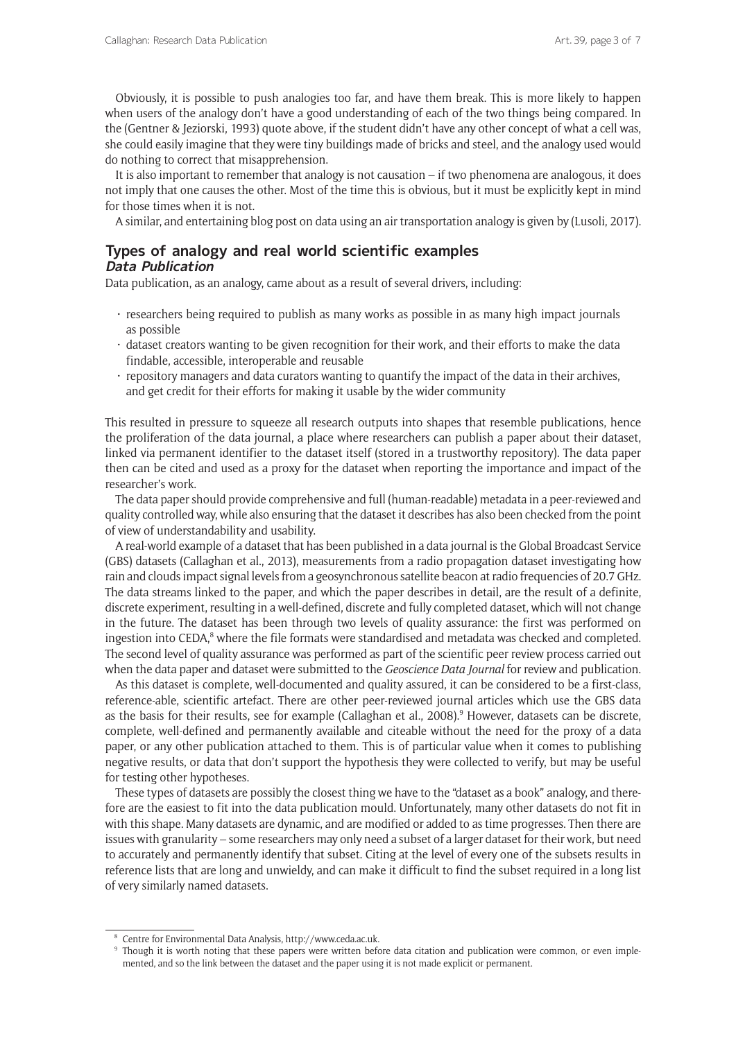Obviously, it is possible to push analogies too far, and have them break. This is more likely to happen when users of the analogy don't have a good understanding of each of the two things being compared. In the (Gentner & Jeziorski, 1993) quote above, if the student didn't have any other concept of what a cell was, she could easily imagine that they were tiny buildings made of bricks and steel, and the analogy used would do nothing to correct that misapprehension.

It is also important to remember that analogy is not causation – if two phenomena are analogous, it does not imply that one causes the other. Most of the time this is obvious, but it must be explicitly kept in mind for those times when it is not.

A similar, and entertaining blog post on data using an air transportation analogy is given by (Lusoli, 2017).

## **Types of analogy and real world scientific examples Data Publication**

Data publication, as an analogy, came about as a result of several drivers, including:

- • researchers being required to publish as many works as possible in as many high impact journals as possible
- • dataset creators wanting to be given recognition for their work, and their efforts to make the data findable, accessible, interoperable and reusable
- $\cdot$  repository managers and data curators wanting to quantify the impact of the data in their archives, and get credit for their efforts for making it usable by the wider community

This resulted in pressure to squeeze all research outputs into shapes that resemble publications, hence the proliferation of the data journal, a place where researchers can publish a paper about their dataset, linked via permanent identifier to the dataset itself (stored in a trustworthy repository). The data paper then can be cited and used as a proxy for the dataset when reporting the importance and impact of the researcher's work.

The data paper should provide comprehensive and full (human-readable) metadata in a peer-reviewed and quality controlled way, while also ensuring that the dataset it describes has also been checked from the point of view of understandability and usability.

A real-world example of a dataset that has been published in a data journal is the Global Broadcast Service (GBS) datasets (Callaghan et al., 2013), measurements from a radio propagation dataset investigating how rain and clouds impact signal levels from a geosynchronous satellite beacon at radio frequencies of 20.7 GHz. The data streams linked to the paper, and which the paper describes in detail, are the result of a definite, discrete experiment, resulting in a well-defined, discrete and fully completed dataset, which will not change in the future. The dataset has been through two levels of quality assurance: the first was performed on ingestion into CEDA,<sup>8</sup> where the file formats were standardised and metadata was checked and completed. The second level of quality assurance was performed as part of the scientific peer review process carried out when the data paper and dataset were submitted to the *Geoscience Data Journal* for review and publication.

As this dataset is complete, well-documented and quality assured, it can be considered to be a first-class, reference-able, scientific artefact. There are other peer-reviewed journal articles which use the GBS data as the basis for their results, see for example (Callaghan et al., 2008).<sup>9</sup> However, datasets can be discrete, complete, well-defined and permanently available and citeable without the need for the proxy of a data paper, or any other publication attached to them. This is of particular value when it comes to publishing negative results, or data that don't support the hypothesis they were collected to verify, but may be useful for testing other hypotheses.

These types of datasets are possibly the closest thing we have to the "dataset as a book" analogy, and therefore are the easiest to fit into the data publication mould. Unfortunately, many other datasets do not fit in with this shape. Many datasets are dynamic, and are modified or added to as time progresses. Then there are issues with granularity – some researchers may only need a subset of a larger dataset for their work, but need to accurately and permanently identify that subset. Citing at the level of every one of the subsets results in reference lists that are long and unwieldy, and can make it difficult to find the subset required in a long list of very similarly named datasets.

<sup>8</sup> Centre for Environmental Data Analysis,<http://www.ceda.ac.uk>.

<sup>&</sup>lt;sup>9</sup> Though it is worth noting that these papers were written before data citation and publication were common, or even implemented, and so the link between the dataset and the paper using it is not made explicit or permanent.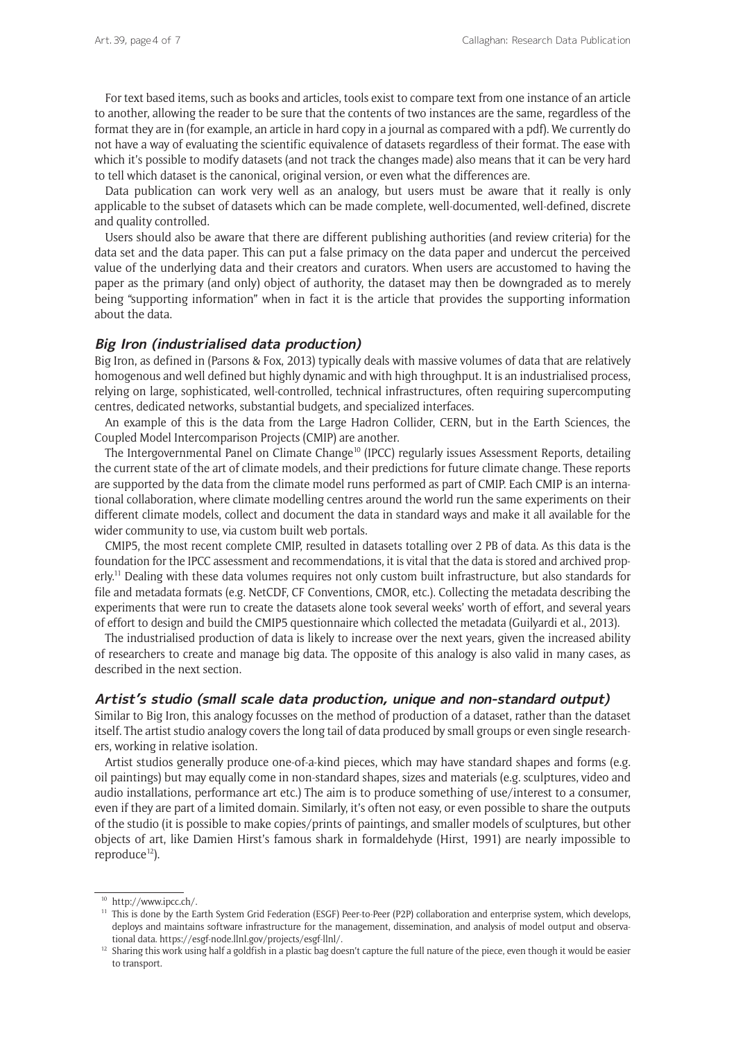For text based items, such as books and articles, tools exist to compare text from one instance of an article to another, allowing the reader to be sure that the contents of two instances are the same, regardless of the format they are in (for example, an article in hard copy in a journal as compared with a pdf). We currently do not have a way of evaluating the scientific equivalence of datasets regardless of their format. The ease with which it's possible to modify datasets (and not track the changes made) also means that it can be very hard to tell which dataset is the canonical, original version, or even what the differences are.

Data publication can work very well as an analogy, but users must be aware that it really is only applicable to the subset of datasets which can be made complete, well-documented, well-defined, discrete and quality controlled.

Users should also be aware that there are different publishing authorities (and review criteria) for the data set and the data paper. This can put a false primacy on the data paper and undercut the perceived value of the underlying data and their creators and curators. When users are accustomed to having the paper as the primary (and only) object of authority, the dataset may then be downgraded as to merely being "supporting information" when in fact it is the article that provides the supporting information about the data.

#### **Big Iron (industrialised data production)**

Big Iron, as defined in (Parsons & Fox, 2013) typically deals with massive volumes of data that are relatively homogenous and well defined but highly dynamic and with high throughput. It is an industrialised process, relying on large, sophisticated, well-controlled, technical infrastructures, often requiring supercomputing centres, dedicated networks, substantial budgets, and specialized interfaces.

An example of this is the data from the Large Hadron Collider, CERN, but in the Earth Sciences, the Coupled Model Intercomparison Projects (CMIP) are another.

The Intergovernmental Panel on Climate Change<sup>10</sup> (IPCC) regularly issues Assessment Reports, detailing the current state of the art of climate models, and their predictions for future climate change. These reports are supported by the data from the climate model runs performed as part of CMIP. Each CMIP is an international collaboration, where climate modelling centres around the world run the same experiments on their different climate models, collect and document the data in standard ways and make it all available for the wider community to use, via custom built web portals.

CMIP5, the most recent complete CMIP, resulted in datasets totalling over 2 PB of data. As this data is the foundation for the IPCC assessment and recommendations, it is vital that the data is stored and archived properly.<sup>11</sup> Dealing with these data volumes requires not only custom built infrastructure, but also standards for file and metadata formats (e.g. NetCDF, CF Conventions, CMOR, etc.). Collecting the metadata describing the experiments that were run to create the datasets alone took several weeks' worth of effort, and several years of effort to design and build the CMIP5 questionnaire which collected the metadata (Guilyardi et al., 2013).

The industrialised production of data is likely to increase over the next years, given the increased ability of researchers to create and manage big data. The opposite of this analogy is also valid in many cases, as described in the next section.

#### **Artist's studio (small scale data production, unique and non-standard output)**

Similar to Big Iron, this analogy focusses on the method of production of a dataset, rather than the dataset itself. The artist studio analogy covers the long tail of data produced by small groups or even single researchers, working in relative isolation.

Artist studios generally produce one-of-a-kind pieces, which may have standard shapes and forms (e.g. oil paintings) but may equally come in non-standard shapes, sizes and materials (e.g. sculptures, video and audio installations, performance art etc.) The aim is to produce something of use/interest to a consumer, even if they are part of a limited domain. Similarly, it's often not easy, or even possible to share the outputs of the studio (it is possible to make copies/prints of paintings, and smaller models of sculptures, but other objects of art, like Damien Hirst's famous shark in formaldehyde (Hirst, 1991) are nearly impossible to reproduce $^{12}$ ).

<sup>10</sup> <http://www.ipcc.ch/>.

<sup>&</sup>lt;sup>11</sup> This is done by the Earth System Grid Federation (ESGF) Peer-to-Peer (P2P) collaboration and enterprise system, which develops, deploys and maintains software infrastructure for the management, dissemination, and analysis of model output and observational data. [https://esgf-node.llnl.gov/projects/esgf-llnl/.](https://esgf-node.llnl.gov/projects/esgf-llnl/)

<sup>&</sup>lt;sup>12</sup> Sharing this work using half a goldfish in a plastic bag doesn't capture the full nature of the piece, even though it would be easier to transport.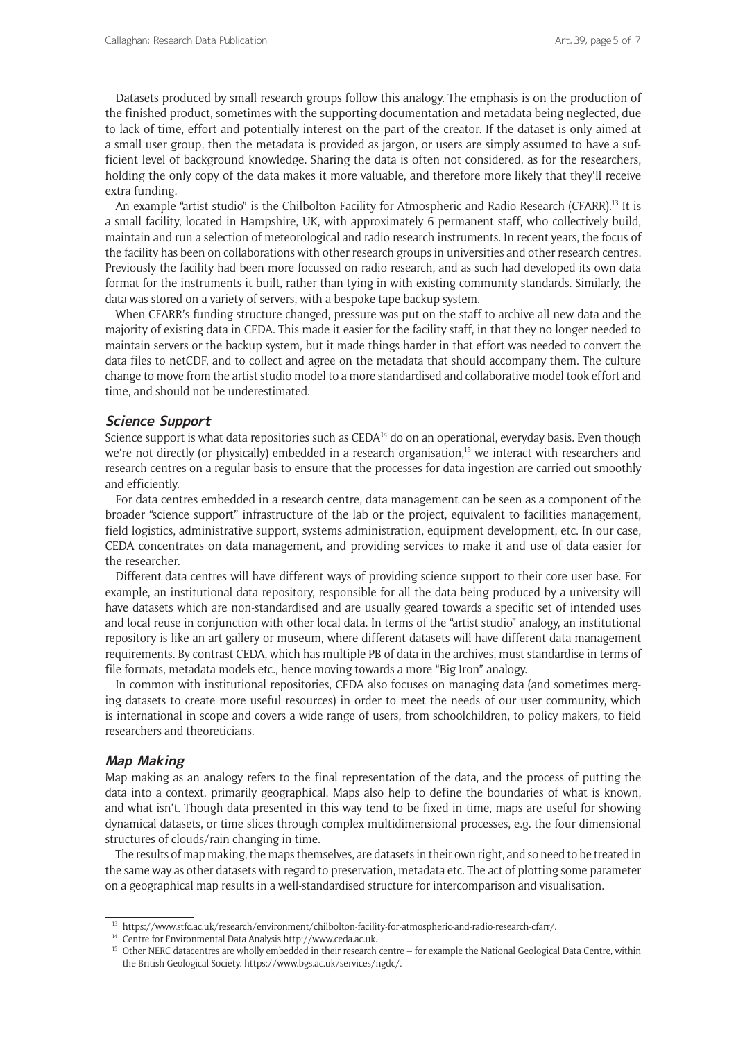Datasets produced by small research groups follow this analogy. The emphasis is on the production of the finished product, sometimes with the supporting documentation and metadata being neglected, due to lack of time, effort and potentially interest on the part of the creator. If the dataset is only aimed at a small user group, then the metadata is provided as jargon, or users are simply assumed to have a sufficient level of background knowledge. Sharing the data is often not considered, as for the researchers, holding the only copy of the data makes it more valuable, and therefore more likely that they'll receive extra funding.

An example "artist studio" is the Chilbolton Facility for Atmospheric and Radio Research (CFARR).<sup>13</sup> It is a small facility, located in Hampshire, UK, with approximately 6 permanent staff, who collectively build, maintain and run a selection of meteorological and radio research instruments. In recent years, the focus of the facility has been on collaborations with other research groups in universities and other research centres. Previously the facility had been more focussed on radio research, and as such had developed its own data format for the instruments it built, rather than tying in with existing community standards. Similarly, the data was stored on a variety of servers, with a bespoke tape backup system.

When CFARR's funding structure changed, pressure was put on the staff to archive all new data and the majority of existing data in CEDA. This made it easier for the facility staff, in that they no longer needed to maintain servers or the backup system, but it made things harder in that effort was needed to convert the data files to netCDF, and to collect and agree on the metadata that should accompany them. The culture change to move from the artist studio model to a more standardised and collaborative model took effort and time, and should not be underestimated.

#### **Science Support**

Science support is what data repositories such as  $CEDA<sup>14</sup>$  do on an operational, everyday basis. Even though we're not directly (or physically) embedded in a research organisation,<sup>15</sup> we interact with researchers and research centres on a regular basis to ensure that the processes for data ingestion are carried out smoothly and efficiently.

For data centres embedded in a research centre, data management can be seen as a component of the broader "science support" infrastructure of the lab or the project, equivalent to facilities management, field logistics, administrative support, systems administration, equipment development, etc. In our case, CEDA concentrates on data management, and providing services to make it and use of data easier for the researcher.

Different data centres will have different ways of providing science support to their core user base. For example, an institutional data repository, responsible for all the data being produced by a university will have datasets which are non-standardised and are usually geared towards a specific set of intended uses and local reuse in conjunction with other local data. In terms of the "artist studio" analogy, an institutional repository is like an art gallery or museum, where different datasets will have different data management requirements. By contrast CEDA, which has multiple PB of data in the archives, must standardise in terms of file formats, metadata models etc., hence moving towards a more "Big Iron" analogy.

In common with institutional repositories, CEDA also focuses on managing data (and sometimes merging datasets to create more useful resources) in order to meet the needs of our user community, which is international in scope and covers a wide range of users, from schoolchildren, to policy makers, to field researchers and theoreticians.

#### **Map Making**

Map making as an analogy refers to the final representation of the data, and the process of putting the data into a context, primarily geographical. Maps also help to define the boundaries of what is known, and what isn't. Though data presented in this way tend to be fixed in time, maps are useful for showing dynamical datasets, or time slices through complex multidimensional processes, e.g. the four dimensional structures of clouds/rain changing in time.

The results of map making, the maps themselves, are datasets in their own right, and so need to be treated in the same way as other datasets with regard to preservation, metadata etc. The act of plotting some parameter on a geographical map results in a well-standardised structure for intercomparison and visualisation.

<sup>13</sup> [https://www.stfc.ac.uk/research/environment/chilbolton-facility-for-atmospheric-and-radio-research-cfarr/.](https://www.stfc.ac.uk/research/environment/chilbolton-facility-for-atmospheric-and-radio-research-cfarr/)

<sup>14</sup> Centre for Environmental Data Analysis [http://www.ceda.ac.uk.](http://www.ceda.ac.uk)

<sup>&</sup>lt;sup>15</sup> Other NERC datacentres are wholly embedded in their research centre – for example the National Geological Data Centre, within the British Geological Society. [https://www.bgs.ac.uk/services/ngdc/.](https://www.bgs.ac.uk/services/ngdc/)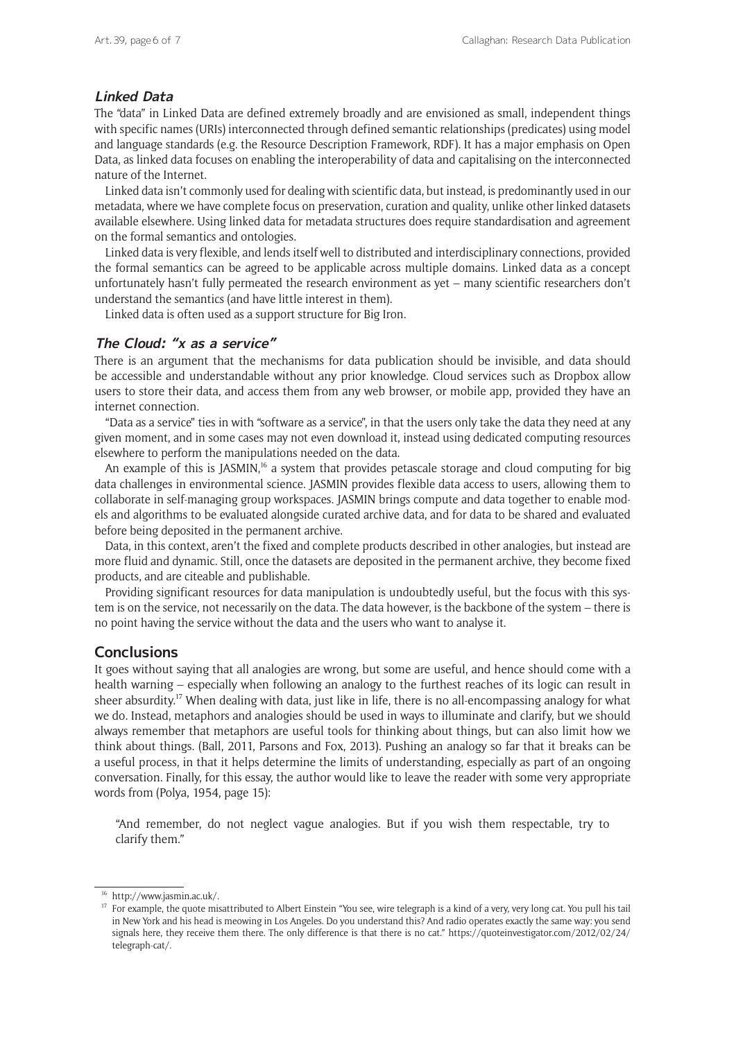## **Linked Data**

The "data" in Linked Data are defined extremely broadly and are envisioned as small, independent things with specific names (URIs) interconnected through defined semantic relationships (predicates) using model and language standards (e.g. the Resource Description Framework, RDF). It has a major emphasis on Open Data, as linked data focuses on enabling the interoperability of data and capitalising on the interconnected nature of the Internet.

Linked data isn't commonly used for dealing with scientific data, but instead, is predominantly used in our metadata, where we have complete focus on preservation, curation and quality, unlike other linked datasets available elsewhere. Using linked data for metadata structures does require standardisation and agreement on the formal semantics and ontologies.

Linked data is very flexible, and lends itself well to distributed and interdisciplinary connections, provided the formal semantics can be agreed to be applicable across multiple domains. Linked data as a concept unfortunately hasn't fully permeated the research environment as yet – many scientific researchers don't understand the semantics (and have little interest in them).

Linked data is often used as a support structure for Big Iron.

## **The Cloud: "x as a service"**

There is an argument that the mechanisms for data publication should be invisible, and data should be accessible and understandable without any prior knowledge. Cloud services such as Dropbox allow users to store their data, and access them from any web browser, or mobile app, provided they have an internet connection.

"Data as a service" ties in with "software as a service", in that the users only take the data they need at any given moment, and in some cases may not even download it, instead using dedicated computing resources elsewhere to perform the manipulations needed on the data.

An example of this is  $[ASMIN, <sup>16</sup>]$  a system that provides petascale storage and cloud computing for big data challenges in environmental science. JASMIN provides flexible data access to users, allowing them to collaborate in self-managing group workspaces. JASMIN brings compute and data together to enable models and algorithms to be evaluated alongside curated archive data, and for data to be shared and evaluated before being deposited in the permanent archive.

Data, in this context, aren't the fixed and complete products described in other analogies, but instead are more fluid and dynamic. Still, once the datasets are deposited in the permanent archive, they become fixed products, and are citeable and publishable.

Providing significant resources for data manipulation is undoubtedly useful, but the focus with this system is on the service, not necessarily on the data. The data however, is the backbone of the system – there is no point having the service without the data and the users who want to analyse it.

## **Conclusions**

It goes without saying that all analogies are wrong, but some are useful, and hence should come with a health warning – especially when following an analogy to the furthest reaches of its logic can result in sheer absurdity.<sup>17</sup> When dealing with data, just like in life, there is no all-encompassing analogy for what we do. Instead, metaphors and analogies should be used in ways to illuminate and clarify, but we should always remember that metaphors are useful tools for thinking about things, but can also limit how we think about things. (Ball, 2011, Parsons and Fox, 2013). Pushing an analogy so far that it breaks can be a useful process, in that it helps determine the limits of understanding, especially as part of an ongoing conversation. Finally, for this essay, the author would like to leave the reader with some very appropriate words from (Polya, 1954, page 15):

"And remember, do not neglect vague analogies. But if you wish them respectable, try to clarify them."

[http://www.jasmin.ac.uk/.](http://www.jasmin.ac.uk/)

<sup>17</sup> For example, the quote misattributed to Albert Einstein "You see, wire telegraph is a kind of a very, very long cat. You pull his tail in New York and his head is meowing in Los Angeles. Do you understand this? And radio operates exactly the same way: you send signals here, they receive them there. The only difference is that there is no cat." [https://quoteinvestigator.com/2012/02/24/](https://quoteinvestigator.com/2012/02/24/telegraph-cat/) [telegraph-cat/](https://quoteinvestigator.com/2012/02/24/telegraph-cat/).